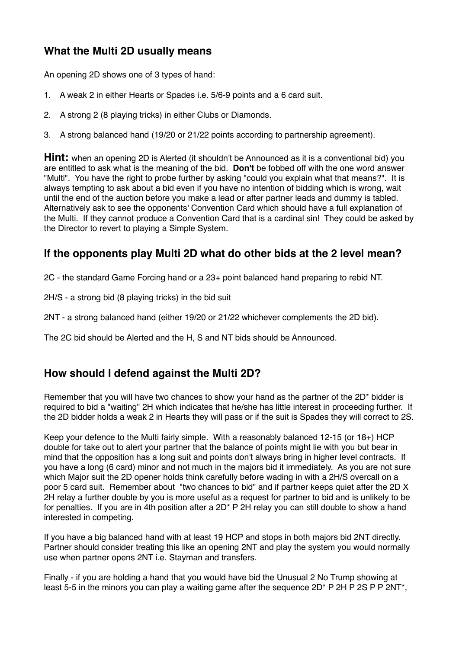## **What the Multi 2D usually means**

An opening 2D shows one of 3 types of hand:

- 1. A weak 2 in either Hearts or Spades i.e. 5/6-9 points and a 6 card suit.
- 2. A strong 2 (8 playing tricks) in either Clubs or Diamonds.
- 3. A strong balanced hand (19/20 or 21/22 points according to partnership agreement).

**Hint:** when an opening 2D is Alerted (it shouldn't be Announced as it is a conventional bid) you are entitled to ask what is the meaning of the bid. **Don't** be fobbed off with the one word answer "Multi". You have the right to probe further by asking "could you explain what that means?". It is always tempting to ask about a bid even if you have no intention of bidding which is wrong, wait until the end of the auction before you make a lead or after partner leads and dummy is tabled. Alternatively ask to see the opponents' Convention Card which should have a full explanation of the Multi. If they cannot produce a Convention Card that is a cardinal sin! They could be asked by the Director to revert to playing a Simple System.

## **If the opponents play Multi 2D what do other bids at the 2 level mean?**

2C - the standard Game Forcing hand or a 23+ point balanced hand preparing to rebid NT.

2H/S - a strong bid (8 playing tricks) in the bid suit

2NT - a strong balanced hand (either 19/20 or 21/22 whichever complements the 2D bid).

The 2C bid should be Alerted and the H, S and NT bids should be Announced.

## **How should I defend against the Multi 2D?**

Remember that you will have two chances to show your hand as the partner of the 2D\* bidder is required to bid a "waiting" 2H which indicates that he/she has little interest in proceeding further. If the 2D bidder holds a weak 2 in Hearts they will pass or if the suit is Spades they will correct to 2S.

Keep your defence to the Multi fairly simple. With a reasonably balanced 12-15 (or 18+) HCP double for take out to alert your partner that the balance of points might lie with you but bear in mind that the opposition has a long suit and points don't always bring in higher level contracts. If you have a long (6 card) minor and not much in the majors bid it immediately. As you are not sure which Major suit the 2D opener holds think carefully before wading in with a 2H/S overcall on a poor 5 card suit. Remember about "two chances to bid" and if partner keeps quiet after the 2D X 2H relay a further double by you is more useful as a request for partner to bid and is unlikely to be for penalties. If you are in 4th position after a 2D\* P 2H relay you can still double to show a hand interested in competing.

If you have a big balanced hand with at least 19 HCP and stops in both majors bid 2NT directly. Partner should consider treating this like an opening 2NT and play the system you would normally use when partner opens 2NT i.e. Stayman and transfers.

Finally - if you are holding a hand that you would have bid the Unusual 2 No Trump showing at least 5-5 in the minors you can play a waiting game after the sequence 2D<sup>\*</sup> P 2H P 2S P P 2NT<sup>\*</sup>,